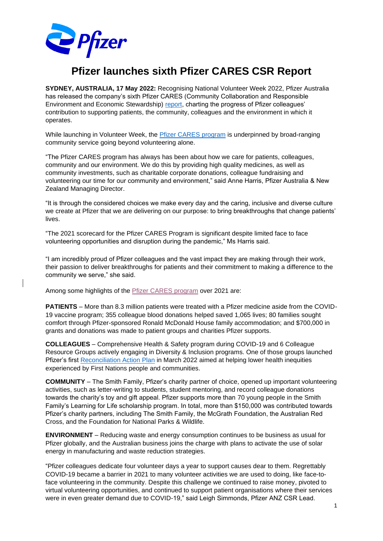

## **Pfizer launches sixth Pfizer CARES CSR Report**

**SYDNEY, AUSTRALIA, 17 May 2022:** Recognising National Volunteer Week 2022, Pfizer Australia has released the company's sixth Pfizer CARES (Community Collaboration and Responsible Environment and Economic Stewardship) [report,](https://www.pfi.sr/ovM) charting the progress of Pfizer colleagues' contribution to supporting patients, the community, colleagues and the environment in which it operates.

While launching in Volunteer Week, the **Pfizer CARES** program is underpinned by broad-ranging community service going beyond volunteering alone.

"The Pfizer CARES program has always has been about how we care for patients, colleagues, community and our environment. We do this by providing high quality medicines, as well as community investments, such as charitable corporate donations, colleague fundraising and volunteering our time for our community and environment," said Anne Harris, Pfizer Australia & New Zealand Managing Director.

"It is through the considered choices we make every day and the caring, inclusive and diverse culture we create at Pfizer that we are delivering on our purpose: to bring breakthroughs that change patients' lives.

"The 2021 scorecard for the Pfizer CARES Program is significant despite limited face to face volunteering opportunities and disruption during the pandemic," Ms Harris said.

"I am incredibly proud of Pfizer colleagues and the vast impact they are making through their work, their passion to deliver breakthroughs for patients and their commitment to making a difference to the community we serve," she said.

Among some highlights of the [Pfizer CARES program](https://www.pfizer.com.au/our-people/pfizer-australia-csr-program#:~:text=Pfizer%20CARES%20is%20the%20Corporate%20Social%20Responsibility%20program%20at%20Pfizer%20Australia.&text=Our%20caring%20culture%20is%20fundamental,breakthroughs%20that%20change%20patients%27%20livesTM.) over 2021 are:

**PATIENTS** – More than 8.3 million patients were treated with a Pfizer medicine aside from the COVID-19 vaccine program; 355 colleague blood donations helped saved 1,065 lives; 80 families sought comfort through Pfizer-sponsored Ronald McDonald House family accommodation; and \$700,000 in grants and donations was made to patient groups and charities Pfizer supports.

**COLLEAGUES** – Comprehensive Health & Safety program during COVID-19 and 6 Colleague Resource Groups actively engaging in Diversity & Inclusion programs. One of those groups launched Pfizer's first [Reconciliation Action Plan](https://www.pfizer.com.au/our-people/reconciliation-action-plan-rap) in March 2022 aimed at helping lower health inequities experienced by First Nations people and communities.

**COMMUNITY** – The Smith Family, Pfizer's charity partner of choice, opened up important volunteering activities, such as letter-writing to students, student mentoring, and record colleague donations towards the charity's toy and gift appeal. Pfizer supports more than 70 young people in the Smith Family's Learning for Life scholarship program. In total, more than \$150,000 was contributed towards Pfizer's charity partners, including The Smith Family, the McGrath Foundation, the Australian Red Cross, and the Foundation for National Parks & Wildlife.

**ENVIRONMENT** – Reducing waste and energy consumption continues to be business as usual for Pfizer globally, and the Australian business joins the charge with plans to activate the use of solar energy in manufacturing and waste reduction strategies.

"Pfizer colleagues dedicate four volunteer days a year to support causes dear to them. Regrettably COVID-19 became a barrier in 2021 to many volunteer activities we are used to doing, like face-toface volunteering in the community. Despite this challenge we continued to raise money, pivoted to virtual volunteering opportunities, and continued to support patient organisations where their services were in even greater demand due to COVID-19," said Leigh Simmonds, Pfizer ANZ CSR Lead.